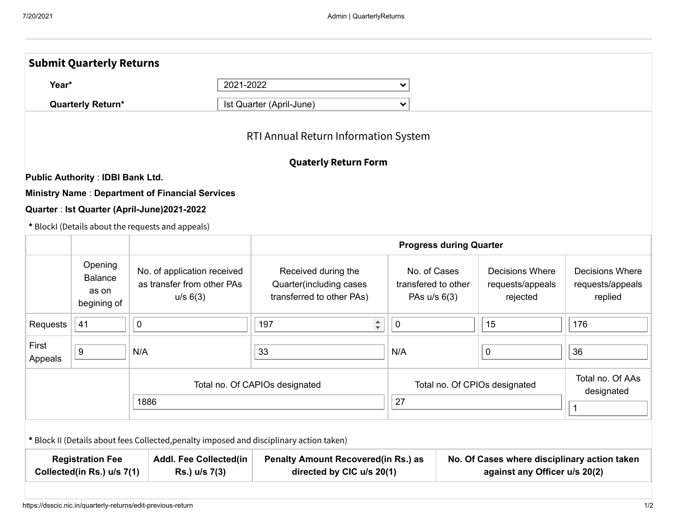|                                                                                                         | <b>Submit Quarterly Returns</b>                   |                                                                                          |                                                                             |                                                                               |  |                                                        |                                                       |  |
|---------------------------------------------------------------------------------------------------------|---------------------------------------------------|------------------------------------------------------------------------------------------|-----------------------------------------------------------------------------|-------------------------------------------------------------------------------|--|--------------------------------------------------------|-------------------------------------------------------|--|
| 2021-2022<br>Year*<br><b>Quarterly Return*</b>                                                          |                                                   |                                                                                          |                                                                             | $\checkmark$                                                                  |  |                                                        |                                                       |  |
|                                                                                                         |                                                   |                                                                                          | Ist Quarter (April-June)                                                    | $\checkmark$                                                                  |  |                                                        |                                                       |  |
|                                                                                                         |                                                   |                                                                                          | RTI Annual Return Information System                                        |                                                                               |  |                                                        |                                                       |  |
|                                                                                                         |                                                   |                                                                                          | <b>Quaterly Return Form</b>                                                 |                                                                               |  |                                                        |                                                       |  |
|                                                                                                         | <b>Public Authority: IDBI Bank Ltd.</b>           |                                                                                          |                                                                             |                                                                               |  |                                                        |                                                       |  |
|                                                                                                         |                                                   | <b>Ministry Name: Department of Financial Services</b>                                   |                                                                             |                                                                               |  |                                                        |                                                       |  |
|                                                                                                         |                                                   | Quarter : Ist Quarter (April-June)2021-2022                                              |                                                                             |                                                                               |  |                                                        |                                                       |  |
|                                                                                                         |                                                   | * BlockI (Details about the requests and appeals)                                        |                                                                             |                                                                               |  |                                                        |                                                       |  |
|                                                                                                         |                                                   |                                                                                          | <b>Progress during Quarter</b>                                              |                                                                               |  |                                                        |                                                       |  |
|                                                                                                         | Opening<br><b>Balance</b><br>as on<br>begining of | No. of application received<br>as transfer from other PAs<br>u/s 6(3)                    | Received during the<br>Quarter(including cases<br>transferred to other PAs) | No. of Cases<br>transfered to other<br>PAs u/s 6(3)                           |  | <b>Decisions Where</b><br>requests/appeals<br>rejected | <b>Decisions Where</b><br>requests/appeals<br>replied |  |
| Requests                                                                                                | 41                                                | $\mathbf 0$                                                                              | $\div$<br>197                                                               | $\mathbf 0$                                                                   |  | 15                                                     | 176                                                   |  |
| First<br>Appeals                                                                                        | $\boldsymbol{9}$                                  | N/A                                                                                      | 33                                                                          | N/A                                                                           |  | $\pmb{0}$                                              | 36                                                    |  |
|                                                                                                         |                                                   | Total no. Of CAPIOs designated                                                           | Total no. Of CPIOs designated                                               |                                                                               |  | Total no. Of AAs<br>designated                         |                                                       |  |
| 1886                                                                                                    |                                                   |                                                                                          |                                                                             | 27                                                                            |  |                                                        | $\mathbf{1}$                                          |  |
|                                                                                                         |                                                   | * Block II (Details about fees Collected, penalty imposed and disciplinary action taken) |                                                                             |                                                                               |  |                                                        |                                                       |  |
| <b>Registration Fee</b><br><b>Addl. Fee Collected(in</b><br>Collected(in Rs.) u/s 7(1)<br>Rs.) u/s 7(3) |                                                   |                                                                                          | <b>Penalty Amount Recovered (in Rs.) as</b><br>directed by CIC u/s 20(1)    | No. Of Cases where disciplinary action taken<br>against any Officer u/s 20(2) |  |                                                        |                                                       |  |